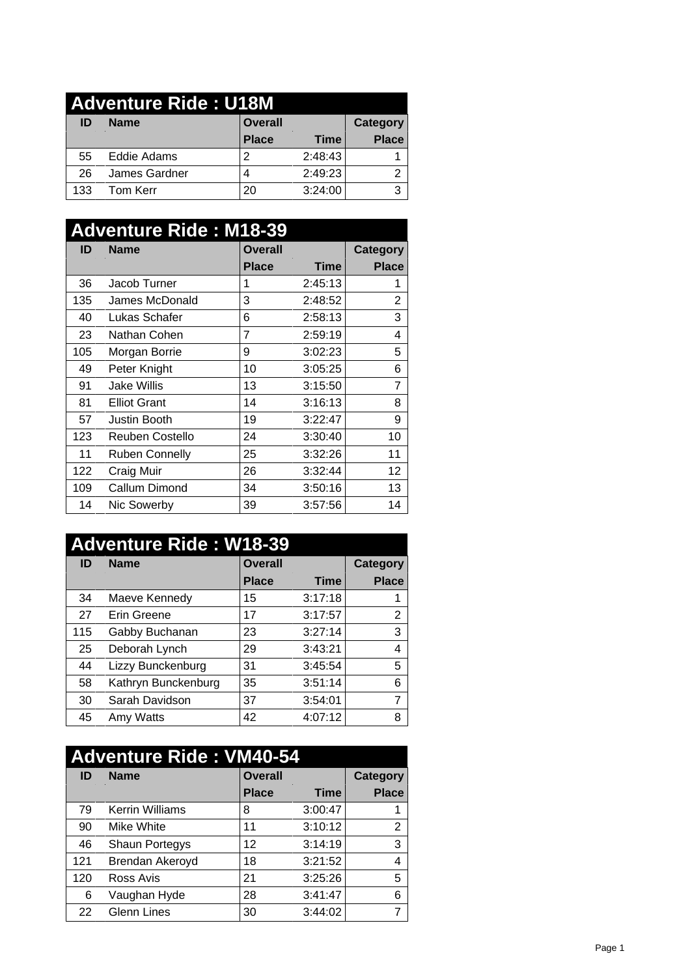| <b>Adventure Ride: U18M</b> |               |                |             |              |
|-----------------------------|---------------|----------------|-------------|--------------|
| ID                          | <b>Name</b>   | <b>Overall</b> |             | Category     |
|                             |               | <b>Place</b>   | <b>Time</b> | <b>Place</b> |
| 55                          | Eddie Adams   |                | 2:48:43     |              |
| 26                          | James Gardner |                | 2:49:23     | ົ            |
| 133                         | Tom Kerr      | 20             | 3:24:00     | ◠            |

| <b>Adventure Ride: M18-39</b> |                       |                |         |                 |  |
|-------------------------------|-----------------------|----------------|---------|-----------------|--|
| ID                            | <b>Name</b>           | <b>Overall</b> |         | <b>Category</b> |  |
|                               |                       | <b>Place</b>   | Time    | <b>Place</b>    |  |
| 36                            | Jacob Turner          |                | 2:45:13 |                 |  |
| 135                           | James McDonald        | 3              | 2:48:52 | $\overline{2}$  |  |
| 40                            | Lukas Schafer         | 6              | 2:58:13 | 3               |  |
| 23                            | Nathan Cohen          | 7              | 2:59:19 | 4               |  |
| 105                           | Morgan Borrie         | 9              | 3:02:23 | 5               |  |
| 49                            | Peter Knight          | 10             | 3:05:25 | 6               |  |
| 91                            | Jake Willis           | 13             | 3:15:50 | 7               |  |
| 81                            | <b>Elliot Grant</b>   | 14             | 3:16:13 | 8               |  |
| 57                            | Justin Booth          | 19             | 3:22:47 | 9               |  |
| 123                           | Reuben Costello       | 24             | 3:30:40 | 10              |  |
| 11                            | <b>Ruben Connelly</b> | 25             | 3:32:26 | 11              |  |
| 122                           | Craig Muir            | 26             | 3:32:44 | 12 <sub>2</sub> |  |
| 109                           | Callum Dimond         | 34             | 3:50:16 | 13              |  |
| 14                            | Nic Sowerby           | 39             | 3:57:56 | 14              |  |

| <b>Adventure Ride: W18-39</b> |                     |                |             |              |  |  |
|-------------------------------|---------------------|----------------|-------------|--------------|--|--|
| ID                            | <b>Name</b>         | <b>Overall</b> |             |              |  |  |
|                               |                     | <b>Place</b>   | <b>Time</b> | <b>Place</b> |  |  |
| 34                            | Maeve Kennedy       | 15             | 3:17:18     |              |  |  |
| 27                            | Erin Greene         | 17             | 3:17:57     | 2            |  |  |
| 115                           | Gabby Buchanan      | 23             | 3:27:14     | 3            |  |  |
| 25                            | Deborah Lynch       | 29             | 3:43:21     | 4            |  |  |
| 44                            | Lizzy Bunckenburg   | 31             | 3:45:54     | 5            |  |  |
| 58                            | Kathryn Bunckenburg | 35             | 3:51:14     | 6            |  |  |
| 30                            | Sarah Davidson      | 37             | 3:54:01     | ⇁            |  |  |
| 45                            | Amy Watts           | 42             | 4:07:12     | 8            |  |  |

| <b>Adventure Ride: VM40-54</b> |                        |                |         |              |  |  |
|--------------------------------|------------------------|----------------|---------|--------------|--|--|
| ID                             | <b>Name</b>            | <b>Overall</b> |         |              |  |  |
|                                |                        | <b>Place</b>   | Time    | <b>Place</b> |  |  |
| 79                             | <b>Kerrin Williams</b> | 8              | 3:00:47 |              |  |  |
| 90                             | Mike White             | 11             | 3:10:12 | 2            |  |  |
| 46                             | Shaun Portegys         | 12             | 3:14:19 | 3            |  |  |
| 121                            | Brendan Akeroyd        | 18             | 3:21:52 | 4            |  |  |
| 120                            | Ross Avis              | 21             | 3:25:26 | 5            |  |  |
| 6                              | Vaughan Hyde           | 28             | 3:41:47 | 6            |  |  |
| 22                             | <b>Glenn Lines</b>     | 30             | 3:44:02 | ⇁            |  |  |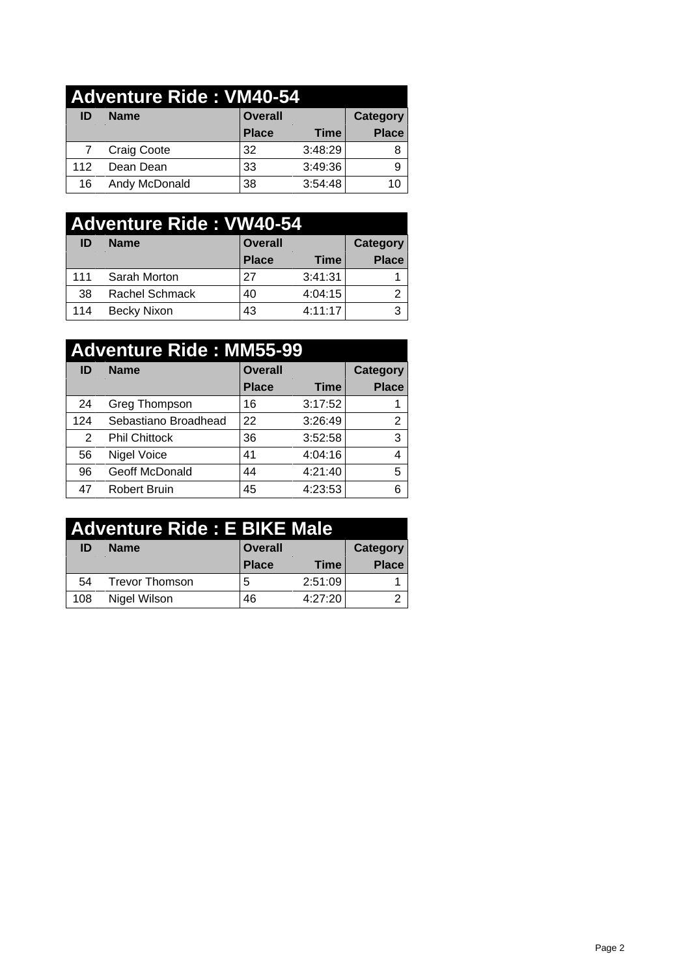## **Adventure Ride : VM40-54 ID Name Overall Category**<br> **Place Time Place Place Time Place** 7 Craig Coote 32 3:48:29 8 112 Dean Dean 33 3:49:36 9 16 Andy McDonald 38 3:54:48 10

| <b>Adventure Ride: VW40-54</b> |                |                |             |              |  |
|--------------------------------|----------------|----------------|-------------|--------------|--|
| ID                             | <b>Name</b>    | <b>Overall</b> |             | Category     |  |
|                                |                | <b>Place</b>   | <b>Time</b> | <b>Place</b> |  |
| 111                            | Sarah Morton   | 27             | 3:41:31     |              |  |
| 38                             | Rachel Schmack | 40             | 4:04:15     | າ            |  |
| 114                            | Becky Nixon    | 43             | 4:11:17     | 3            |  |

| <b>Adventure Ride: MM55-99</b> |                      |                |             |              |  |
|--------------------------------|----------------------|----------------|-------------|--------------|--|
| ID                             | <b>Name</b>          | <b>Overall</b> |             |              |  |
|                                |                      | <b>Place</b>   | <b>Time</b> | <b>Place</b> |  |
| 24                             | Greg Thompson        | 16             | 3:17:52     |              |  |
| 124                            | Sebastiano Broadhead | 22             | 3:26:49     | 2            |  |
| $\overline{2}$                 | <b>Phil Chittock</b> | 36             | 3:52:58     | 3            |  |
| 56                             | Nigel Voice          | 41             | 4:04:16     | 4            |  |
| 96                             | Geoff McDonald       | 44             | 4:21:40     | 5            |  |
| 47                             | <b>Robert Bruin</b>  | 45             | 4:23:53     | 6            |  |

| Adventure Ride: E BIKE Male |                |                |         |              |  |
|-----------------------------|----------------|----------------|---------|--------------|--|
| ID                          | <b>Name</b>    | <b>Overall</b> |         | Category     |  |
|                             |                | <b>Place</b>   | Time    | <b>Place</b> |  |
| 54                          | Trevor Thomson | b              | 2:51:09 |              |  |
| 108                         | Nigel Wilson   | 46             | 4:27:20 | っ            |  |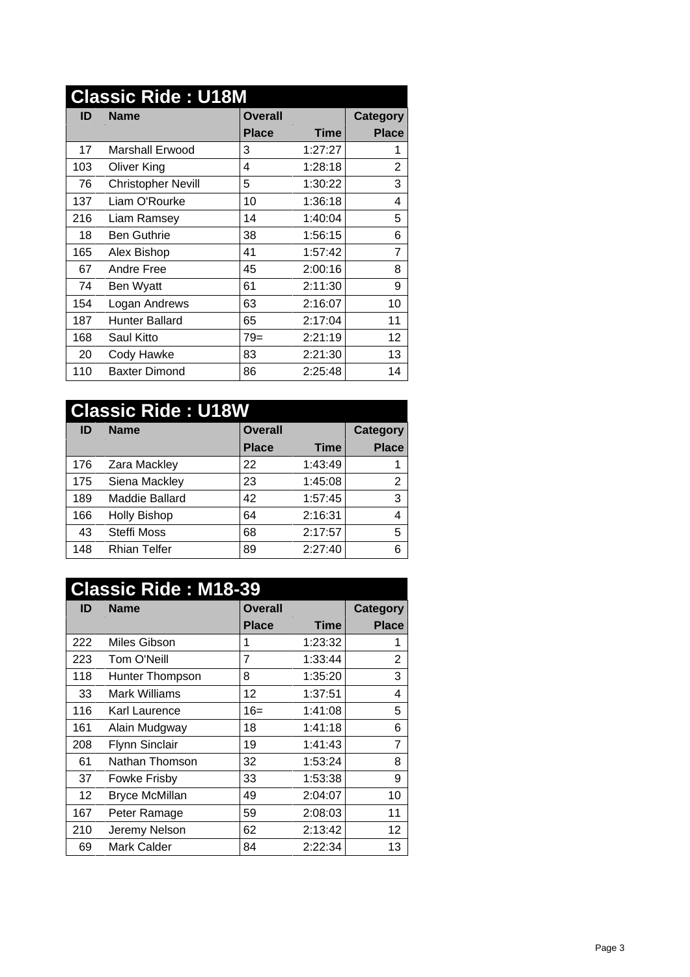| <b>Classic Ride: U18M</b> |                           |                |             |                |
|---------------------------|---------------------------|----------------|-------------|----------------|
| ID                        | <b>Name</b>               | <b>Overall</b> |             | Category       |
|                           |                           | <b>Place</b>   | <b>Time</b> | <b>Place</b>   |
| 17                        | Marshall Erwood           | 3              | 1:27:27     |                |
| 103                       | Oliver King               | 4              | 1:28:18     | $\overline{2}$ |
| 76                        | <b>Christopher Nevill</b> | 5              | 1:30:22     | 3              |
| 137                       | Liam O'Rourke             | 10             | 1:36:18     | 4              |
| 216                       | Liam Ramsey               | 14             | 1:40:04     | 5              |
| 18                        | <b>Ben Guthrie</b>        | 38             | 1:56:15     | 6              |
| 165                       | Alex Bishop               | 41             | 1:57:42     | $\overline{7}$ |
| 67                        | Andre Free                | 45             | 2:00:16     | 8              |
| 74                        | Ben Wyatt                 | 61             | 2:11:30     | 9              |
| 154                       | Logan Andrews             | 63             | 2:16:07     | 10             |
| 187                       | <b>Hunter Ballard</b>     | 65             | 2:17:04     | 11             |
| 168                       | Saul Kitto                | $79=$          | 2:21:19     | 12             |
| 20                        | Cody Hawke                | 83             | 2:21:30     | 13             |
| 110                       | <b>Baxter Dimond</b>      | 86             | 2:25:48     | 14             |

|     | <b>Classic Ride: U18W</b> |                |             |              |
|-----|---------------------------|----------------|-------------|--------------|
| ID  | <b>Name</b>               | <b>Overall</b> |             | Category     |
|     |                           | Place          | <b>Time</b> | <b>Place</b> |
| 176 | Zara Mackley              | 22             | 1:43:49     |              |
| 175 | Siena Mackley             | 23             | 1:45:08     | ົ            |
| 189 | Maddie Ballard            | 42             | 1:57:45     | 3            |
| 166 | <b>Holly Bishop</b>       | 64             | 2:16:31     | 4            |
| 43  | Steffi Moss               | 68             | 2:17:57     | 5            |
| 148 | <b>Rhian Telfer</b>       | 89             | 2:27:40     | 6            |

| <b>Classic Ride: M18-39</b> |                       |                |         |                |  |  |  |
|-----------------------------|-----------------------|----------------|---------|----------------|--|--|--|
| ID                          | <b>Name</b>           | <b>Overall</b> |         |                |  |  |  |
|                             |                       | <b>Place</b>   | Time    | <b>Place</b>   |  |  |  |
| 222                         | Miles Gibson          | 1              | 1:23:32 |                |  |  |  |
| 223                         | Tom O'Neill           | 7              | 1:33:44 | $\overline{2}$ |  |  |  |
| 118                         | Hunter Thompson       | 8              | 1:35:20 | 3              |  |  |  |
| 33                          | Mark Williams         | 12             | 1:37:51 | 4              |  |  |  |
| 116                         | Karl Laurence         | $16=$          | 1:41:08 | 5              |  |  |  |
| 161                         | Alain Mudgway         | 18             | 1:41:18 | 6              |  |  |  |
| 208                         | <b>Flynn Sinclair</b> | 19             | 1:41:43 | 7              |  |  |  |
| 61                          | Nathan Thomson        | 32             | 1:53:24 | 8              |  |  |  |
| 37                          | <b>Fowke Frisby</b>   | 33             | 1:53:38 | 9              |  |  |  |
| 12                          | <b>Bryce McMillan</b> | 49             | 2:04:07 | 10             |  |  |  |
| 167                         | Peter Ramage          | 59             | 2:08:03 | 11             |  |  |  |
| 210                         | Jeremy Nelson         | 62             | 2:13:42 | 12             |  |  |  |
| 69                          | <b>Mark Calder</b>    | 84             | 2:22:34 | 13             |  |  |  |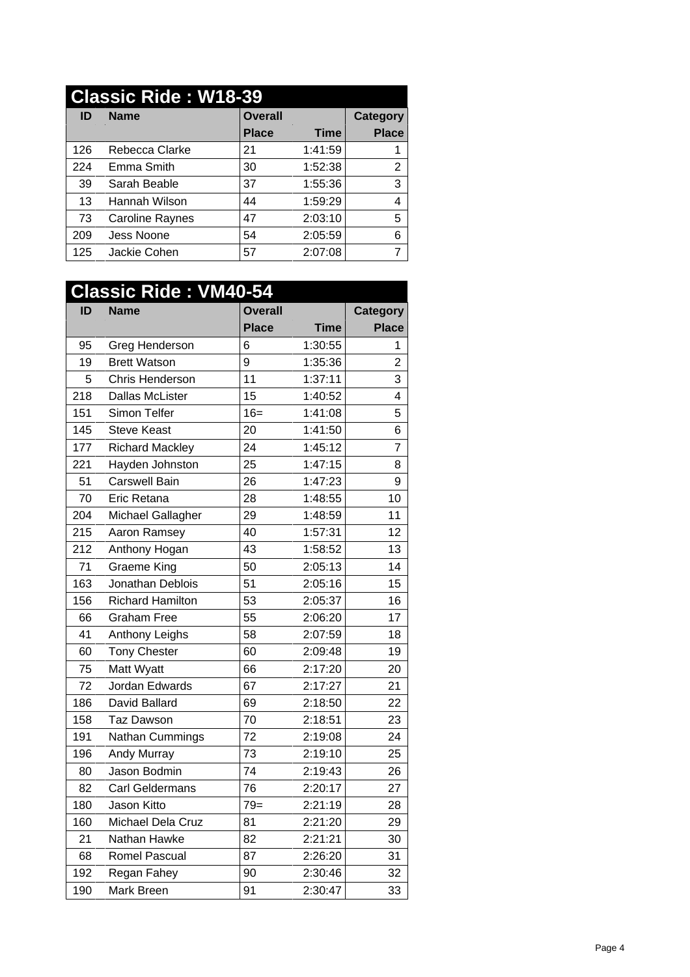## **Classic Ride : W18-39 ID Name Overall Category**

|     |                        | <b>Place</b> | <b>Time</b> | <b>Place</b> |
|-----|------------------------|--------------|-------------|--------------|
| 126 | Rebecca Clarke         | 21           | 1:41:59     |              |
| 224 | Emma Smith             | 30           | 1:52:38     |              |
| 39  | Sarah Beable           | 37           | 1:55:36     | 3            |
| 13  | Hannah Wilson          | 44           | 1:59:29     | 4            |
| 73  | <b>Caroline Raynes</b> | 47           | 2:03:10     | 5            |
| 209 | Jess Noone             | 54           | 2:05:59     | 6            |
| 125 | Jackie Cohen           | 57           | 2:07:08     |              |

## **Classic Ride : VM40-54 ID Name Overall Category Place Time Place** 95 Greg Henderson 6 1:30:55 1 19 Brett Watson 9 1:35:36 2 5 Chris Henderson 11 1:37:11 3 218 Dallas McLister 15 1:40:52 4 151 Simon Telfer 16= 1:41:08 5 145 Steve Keast 120 1:41:50 6 177 Richard Mackley 24 1:45:12 7 221 Hayden Johnston 25 1:47:15 8 51 Carswell Bain 26 1:47:23 9 70 Eric Retana 28 1:48:55 10 204 Michael Gallagher 29 1:48:59 11 215 Aaron Ramsey 40 1:57:31 12 212 Anthony Hogan 43 1:58:52 13 71 Graeme King 50 2:05:13 14 163 Jonathan Deblois | 51 | 2:05:16 | 15 156 Richard Hamilton 53 2:05:37 16 66 Graham Free 55 2:06:20 17 41 Anthony Leighs 58 2:07:59 18 60 Tony Chester 60 2:09:48 19 75 Matt Wyatt 66 2:17:20 20 72 Jordan Edwards 67 2:17:27 21 186 David Ballard 69 2:18:50 22 158 Taz Dawson 170 2:18:51 23 191 Nathan Cummings 72 2:19:08 24 196 Andy Murray 73 2:19:10 25 80 Jason Bodmin 74 2:19:43 26 82 Carl Geldermans 76 2:20:17 27 180 Jason Kitto 79= 2:21:19 28 160 Michael Dela Cruz | 81 | 2:21:20 | 29 21 Nathan Hawke 82 2:21:21 30 68 Romel Pascual 87 2:26:20 31 192 Regan Fahey 190 2:30:46 32 190 | Mark Breen | 91 | 2:30:47 33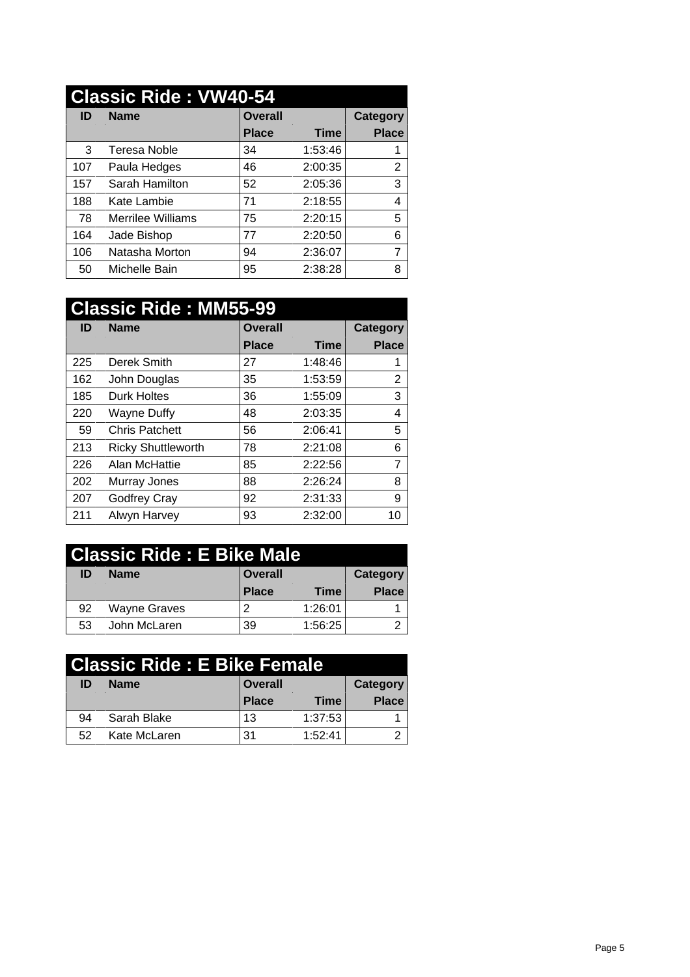## **Classic Ride : VW40-54**

| ID  | <b>Name</b>              | <b>Overall</b> |             | Category     |
|-----|--------------------------|----------------|-------------|--------------|
|     |                          | <b>Place</b>   | <b>Time</b> | <b>Place</b> |
| 3   | Teresa Noble             | 34             | 1:53:46     |              |
| 107 | Paula Hedges             | 46             | 2:00:35     | 2            |
| 157 | Sarah Hamilton           | 52             | 2:05:36     | 3            |
| 188 | Kate Lambie              | 71             | 2:18:55     | 4            |
| 78  | <b>Merrilee Williams</b> | 75             | 2:20:15     | 5            |
| 164 | Jade Bishop              | 77             | 2:20:50     | 6            |
| 106 | Natasha Morton           | 94             | 2:36:07     | 7            |
| 50  | Michelle Bain            | 95             | 2:38:28     | 8            |

|     | <b>Classic Ride: MM55-99</b> |                |             |                |
|-----|------------------------------|----------------|-------------|----------------|
| ID  | <b>Name</b>                  | <b>Overall</b> |             | Category       |
|     |                              | <b>Place</b>   | <b>Time</b> | <b>Place</b>   |
| 225 | Derek Smith                  | 27             | 1:48:46     |                |
| 162 | John Douglas                 | 35             | 1:53:59     | 2              |
| 185 | <b>Durk Holtes</b>           | 36             | 1:55:09     | 3              |
| 220 | Wayne Duffy                  | 48             | 2:03:35     | 4              |
| 59  | <b>Chris Patchett</b>        | 56             | 2:06:41     | 5              |
| 213 | <b>Ricky Shuttleworth</b>    | 78             | 2:21:08     | 6              |
| 226 | Alan McHattie                | 85             | 2:22:56     | $\overline{7}$ |
| 202 | Murray Jones                 | 88             | 2:26:24     | 8              |
| 207 | Godfrey Cray                 | 92             | 2:31:33     | 9              |
| 211 | Alwyn Harvey                 | 93             | 2:32:00     | 10             |

|    | Classic Ride: E Bike Male |              |         |              |
|----|---------------------------|--------------|---------|--------------|
| ID | <b>Name</b>               | Overall      |         | Category     |
|    |                           | <b>Place</b> | Time    | <b>Place</b> |
| 92 | Wayne Graves              |              | 1:26:01 |              |
| 53 | John McLaren              | 39           | 1:56:25 | ົ            |

|    | Classic Ride : E Bike Female |                |         |              |
|----|------------------------------|----------------|---------|--------------|
| ID | <b>Name</b>                  | <b>Overall</b> |         | Category     |
|    |                              | <b>Place</b>   | Time    | <b>Place</b> |
| 94 | Sarah Blake                  | 13             | 1:37:53 |              |
| 52 | Kate McLaren                 | -31            | 1:52:41 | ◠            |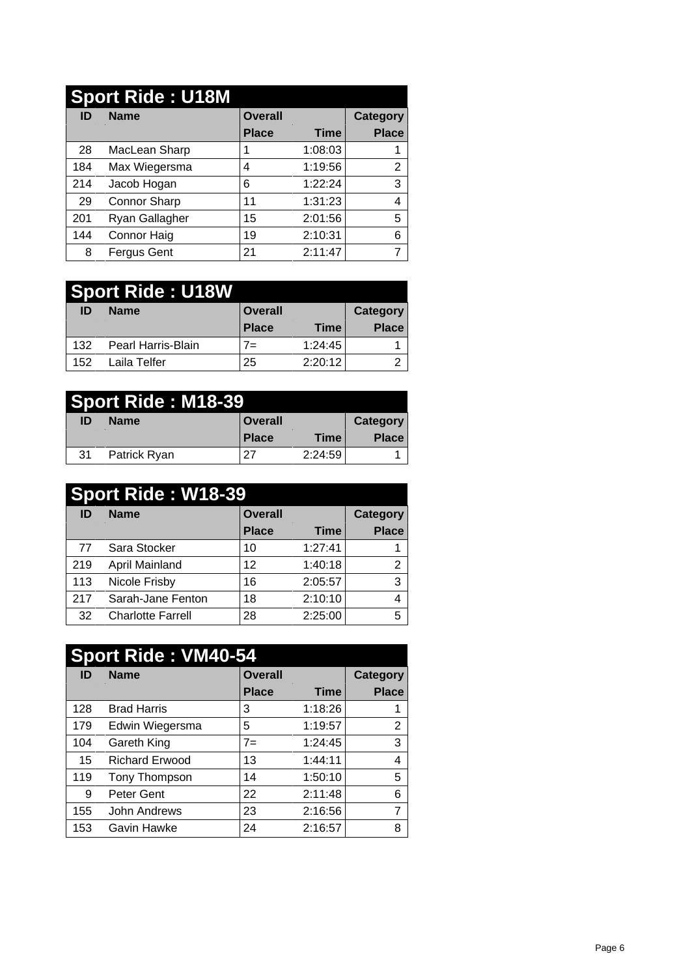|     | <b>Sport Ride: U18M</b> |                |         |                 |
|-----|-------------------------|----------------|---------|-----------------|
| ID  | <b>Name</b>             | <b>Overall</b> |         | <b>Category</b> |
|     |                         | <b>Place</b>   | Time    | <b>Place</b>    |
| 28  | MacLean Sharp           |                | 1:08:03 |                 |
| 184 | Max Wiegersma           | 4              | 1:19:56 | າ               |
| 214 | Jacob Hogan             | 6              | 1:22:24 | 3               |
| 29  | Connor Sharp            | 11             | 1:31:23 | 4               |
| 201 | Ryan Gallagher          | 15             | 2:01:56 | 5               |
| 144 | Connor Haig             | 19             | 2:10:31 | 6               |
| 8   | Fergus Gent             | 21             | 2:11:47 |                 |

|     | <b>Sport Ride: U18W</b> |                |             |              |
|-----|-------------------------|----------------|-------------|--------------|
| ID  | <b>Name</b>             | <b>Overall</b> |             | Category     |
|     |                         | <b>Place</b>   | <b>Time</b> | <b>Place</b> |
| 132 | Pearl Harris-Blain      | $7=$           | 1:24:45     |              |
| 152 | Laila Telfer            | 25             | 2:20:12     | ◠<br>▃       |

|    | <b>Sport Ride: M18-39</b> |         |             |                 |
|----|---------------------------|---------|-------------|-----------------|
| ID | <b>Name</b>               | Overall |             | <b>Category</b> |
|    |                           | Place   | <b>Time</b> | <b>Place</b>    |
| 31 | Patrick Ryan              | 27      | 2:24:59     |                 |

|     | <b>Sport Ride: W18-39</b> |                |         |              |
|-----|---------------------------|----------------|---------|--------------|
| ID  | <b>Name</b>               | <b>Overall</b> |         | Category     |
|     |                           | <b>Place</b>   | Time    | <b>Place</b> |
| 77  | Sara Stocker              | 10             | 1:27:41 |              |
| 219 | April Mainland            | 12             | 1:40:18 | 2            |
| 113 | Nicole Frisby             | 16             | 2:05:57 | 3            |
| 217 | Sarah-Jane Fenton         | 18             | 2:10:10 | 4            |
| 32  | <b>Charlotte Farrell</b>  | 28             | 2:25:00 | 5            |

|     | <b>Sport Ride: VM40-54</b> |                |             |                |
|-----|----------------------------|----------------|-------------|----------------|
| ID  | <b>Name</b>                | <b>Overall</b> |             | Category       |
|     |                            | <b>Place</b>   | <b>Time</b> | <b>Place</b>   |
| 128 | <b>Brad Harris</b>         | 3              | 1:18:26     |                |
| 179 | Edwin Wiegersma            | 5              | 1:19:57     | 2              |
| 104 | Gareth King                | $7 =$          | 1:24:45     | 3              |
| 15  | <b>Richard Erwood</b>      | 13             | 1:44:11     | 4              |
| 119 | Tony Thompson              | 14             | 1:50:10     | 5              |
| 9   | Peter Gent                 | 22             | 2:11:48     | 6              |
| 155 | John Andrews               | 23             | 2:16:56     | $\overline{ }$ |
| 153 | Gavin Hawke                | 24             | 2:16:57     | 8              |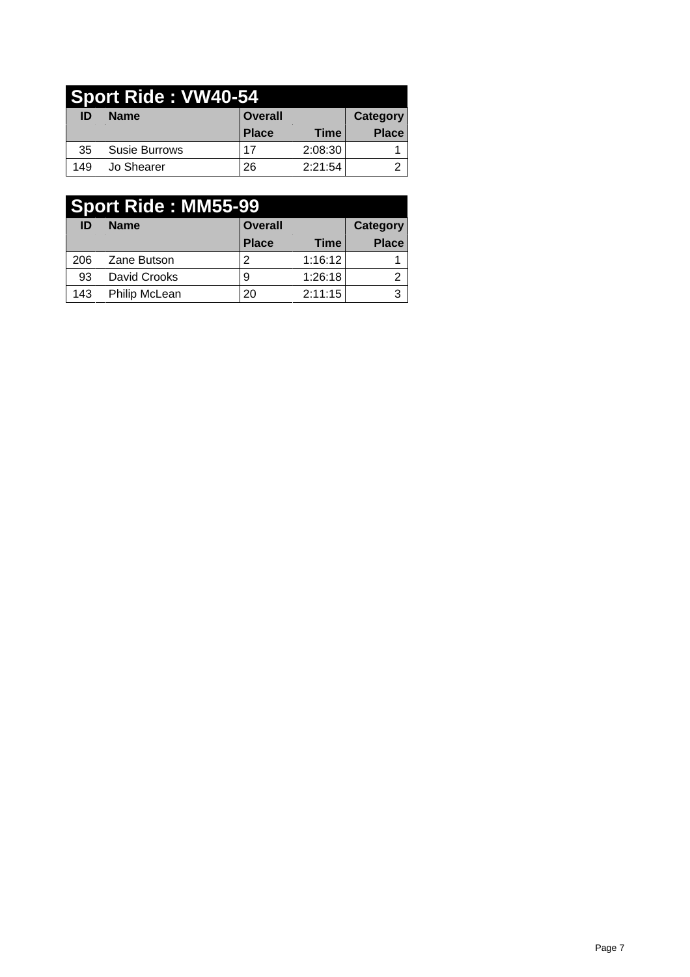|     | Sport Ride: VW40-54 |                |         |                 |
|-----|---------------------|----------------|---------|-----------------|
| ID  | <b>Name</b>         | <b>Overall</b> |         | <b>Category</b> |
|     |                     | <b>Place</b>   | Time    | <b>Place</b>    |
| 35  | Susie Burrows       | 17             | 2:08:30 |                 |
| 149 | Jo Shearer          | 26             | 2:21:54 |                 |

|     | <b>Sport Ride: MM55-99</b> |                |             |                 |
|-----|----------------------------|----------------|-------------|-----------------|
| ID  | <b>Name</b>                | <b>Overall</b> |             | <b>Category</b> |
|     |                            | <b>Place</b>   | <b>Time</b> | <b>Place</b>    |
| 206 | Zane Butson                | 2              | 1:16:12     |                 |
| 93  | David Crooks               | 9              | 1:26:18     | ົ               |
| 143 | Philip McLean              | 20             | 2:11:15     | 3               |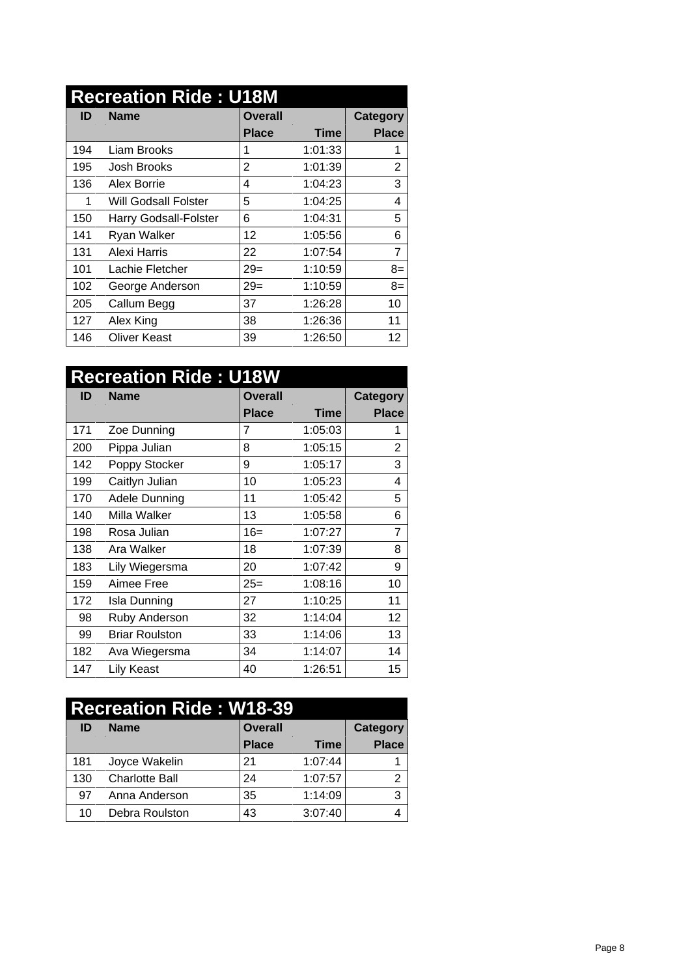|     | <b>Recreation Ride: U18M</b> |                |         |                 |
|-----|------------------------------|----------------|---------|-----------------|
| ID  | <b>Name</b>                  | <b>Overall</b> |         | <b>Category</b> |
|     |                              | Place          | Time    | <b>Place</b>    |
| 194 | Liam Brooks                  |                | 1:01:33 |                 |
| 195 | Josh Brooks                  | $\overline{2}$ | 1:01:39 | $\overline{2}$  |
| 136 | Alex Borrie                  | 4              | 1:04:23 | 3               |
| 1   | <b>Will Godsall Folster</b>  | 5              | 1:04:25 | 4               |
| 150 | Harry Godsall-Folster        | 6              | 1:04:31 | 5               |
| 141 | Ryan Walker                  | 12             | 1:05:56 | 6               |
| 131 | Alexi Harris                 | 22             | 1:07:54 | 7               |
| 101 | Lachie Fletcher              | $29=$          | 1:10:59 | $8=$            |
| 102 | George Anderson              | $29=$          | 1:10:59 | $8=$            |
| 205 | Callum Begg                  | 37             | 1:26:28 | 10              |
| 127 | Alex King                    | 38             | 1:26:36 | 11              |
| 146 | <b>Oliver Keast</b>          | 39             | 1:26:50 | 12 <sub>2</sub> |

|     | <b>Recreation Ride: U18W</b> |                |             |                |
|-----|------------------------------|----------------|-------------|----------------|
| ID  | <b>Name</b>                  | <b>Overall</b> |             | Category       |
|     |                              | <b>Place</b>   | <b>Time</b> | <b>Place</b>   |
| 171 | Zoe Dunning                  | 7              | 1:05:03     |                |
| 200 | Pippa Julian                 | 8              | 1:05:15     | 2              |
| 142 | Poppy Stocker                | 9              | 1:05:17     | 3              |
| 199 | Caitlyn Julian               | 10             | 1:05:23     | 4              |
| 170 | Adele Dunning                | 11             | 1:05:42     | 5              |
| 140 | Milla Walker                 | 13             | 1:05:58     | 6              |
| 198 | Rosa Julian                  | $16=$          | 1:07:27     | $\overline{7}$ |
| 138 | Ara Walker                   | 18             | 1:07:39     | 8              |
| 183 | Lily Wiegersma               | 20             | 1:07:42     | 9              |
| 159 | Aimee Free                   | $25=$          | 1:08:16     | 10             |
| 172 | Isla Dunning                 | 27             | 1:10:25     | 11             |
| 98  | Ruby Anderson                | 32             | 1:14:04     | 12             |
| 99  | <b>Briar Roulston</b>        | 33             | 1:14:06     | 13             |
| 182 | Ava Wiegersma                | 34             | 1:14:07     | 14             |
| 147 | Lily Keast                   | 40             | 1:26:51     | 15             |

| <b>Recreation Ride: W18-39</b> |                       |                |             |              |  |  |  |
|--------------------------------|-----------------------|----------------|-------------|--------------|--|--|--|
| ID                             | <b>Name</b>           | <b>Overall</b> |             |              |  |  |  |
|                                |                       | <b>Place</b>   | <b>Time</b> | <b>Place</b> |  |  |  |
| 181                            | Joyce Wakelin         | 21             | 1:07:44     |              |  |  |  |
| 130                            | <b>Charlotte Ball</b> | 24             | 1:07:57     | ົ            |  |  |  |
| 97                             | Anna Anderson         | 35             | 1:14:09     | 3            |  |  |  |
| 10                             | Debra Roulston        | 43             | 3:07:40     | 4            |  |  |  |